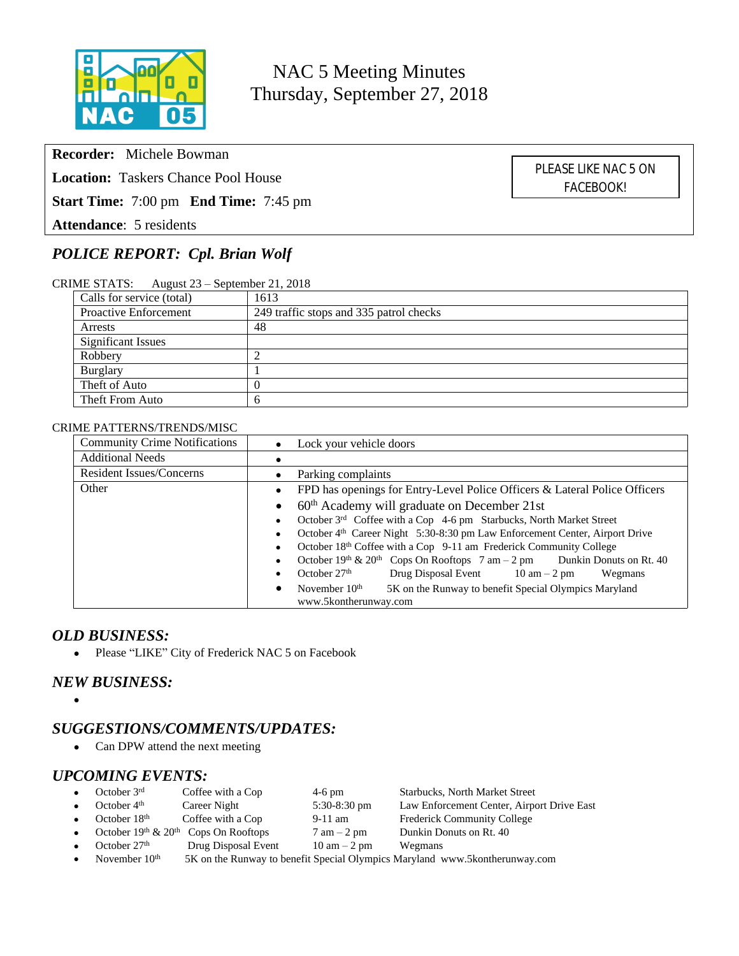

NAC 5 Meeting Minutes Thursday, September 27, 2018

**Recorder:** Michele Bowman

**Location:** Taskers Chance Pool House

**Start Time:** 7:00 pm **End Time:** 7:45 pm

**Attendance**: 5 residents

# *POLICE REPORT: Cpl. Brian Wolf*

|--|

| Calls for service (total) | 1613                                    |  |
|---------------------------|-----------------------------------------|--|
| Proactive Enforcement     | 249 traffic stops and 335 patrol checks |  |
| Arrests                   | 48                                      |  |
| <b>Significant Issues</b> |                                         |  |
| Robbery                   |                                         |  |
| <b>Burglary</b>           |                                         |  |
| Theft of Auto             | $\theta$                                |  |
| Theft From Auto           | $\mathbf b$                             |  |

#### CRIME PATTERNS/TRENDS/MISC

| <b>Community Crime Notifications</b> | Lock your vehicle doors                                                                    |  |  |  |  |
|--------------------------------------|--------------------------------------------------------------------------------------------|--|--|--|--|
| <b>Additional Needs</b>              |                                                                                            |  |  |  |  |
| <b>Resident Issues/Concerns</b>      | Parking complaints                                                                         |  |  |  |  |
| Other                                | FPD has openings for Entry-Level Police Officers & Lateral Police Officers<br>$\bullet$    |  |  |  |  |
|                                      | 60 <sup>th</sup> Academy will graduate on December 21st                                    |  |  |  |  |
|                                      | October 3 <sup>rd</sup> Coffee with a Cop 4-6 pm Starbucks, North Market Street            |  |  |  |  |
|                                      | October 4 <sup>th</sup> Career Night 5:30-8:30 pm Law Enforcement Center, Airport Drive    |  |  |  |  |
|                                      | October 18th Coffee with a Cop 9-11 am Frederick Community College                         |  |  |  |  |
|                                      | October 19th & 20th Cops On Rooftops $7 \text{ am} - 2 \text{ pm}$ Dunkin Donuts on Rt. 40 |  |  |  |  |
|                                      | October $27th$<br>Drug Disposal Event $10 \text{ am} - 2 \text{ pm}$<br>Wegmans            |  |  |  |  |
|                                      | 5K on the Runway to benefit Special Olympics Maryland<br>November $10th$<br>$\bullet$      |  |  |  |  |
|                                      | www.5kontherunway.com                                                                      |  |  |  |  |

#### *OLD BUSINESS:*

• Please "LIKE" City of Frederick NAC 5 on Facebook

## *NEW BUSINESS:*

 $\bullet$ 

# *SUGGESTIONS/COMMENTS/UPDATES:*

• Can DPW attend the next meeting

### *UPCOMING EVENTS:*

| $\bullet$ | October $3rd$     | Coffee with a Cop                        | $4-6$ pm                       | <b>Starbucks, North Market Street</b>                                       |
|-----------|-------------------|------------------------------------------|--------------------------------|-----------------------------------------------------------------------------|
| $\bullet$ | October $4th$     | Career Night                             | $5:30-8:30$ pm                 | Law Enforcement Center, Airport Drive East                                  |
| $\bullet$ | October $18th$    | Coffee with a Cop                        | $9-11$ am                      | <b>Frederick Community College</b>                                          |
| $\bullet$ |                   | October $19th$ & $20th$ Cops On Rooftops | $7 \text{ am} - 2 \text{ pm}$  | Dunkin Donuts on Rt. 40                                                     |
| $\bullet$ | October $27th$    | Drug Disposal Event                      | $10 \text{ am} - 2 \text{ pm}$ | Wegmans                                                                     |
|           | • November $10th$ |                                          |                                | 5K on the Runway to benefit Special Olympics Maryland www.5kontherunway.com |

PLEASE LIKE NAC 5 ON FACEBOOK!